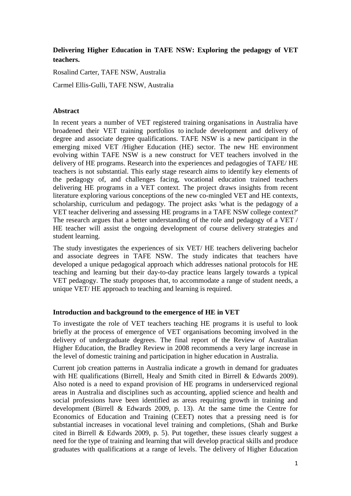# **Delivering Higher Education in TAFE NSW: Exploring the pedagogy of VET teachers.**

Rosalind Carter, TAFE NSW, Australia

Carmel Ellis-Gulli, TAFE NSW, Australia

#### **Abstract**

In recent years a number of VET registered training organisations in Australia have broadened their VET training portfolios to include development and delivery of degree and associate degree qualifications. TAFE NSW is a new participant in the emerging mixed VET /Higher Education (HE) sector. The new HE environment evolving within TAFE NSW is a new construct for VET teachers involved in the delivery of HE programs. Research into the experiences and pedagogies of TAFE/ HE teachers is not substantial. This early stage research aims to identify key elements of the pedagogy of, and challenges facing, vocational education trained teachers delivering HE programs in a VET context. The project draws insights from recent literature exploring various conceptions of the new co-mingled VET and HE contexts, scholarship, curriculum and pedagogy. The project asks 'what is the pedagogy of a VET teacher delivering and assessing HE programs in a TAFE NSW college context?' The research argues that a better understanding of the role and pedagogy of a VET / HE teacher will assist the ongoing development of course delivery strategies and student learning.

The study investigates the experiences of six VET/ HE teachers delivering bachelor and associate degrees in TAFE NSW. The study indicates that teachers have developed a unique pedagogical approach which addresses national protocols for HE teaching and learning but their day-to-day practice leans largely towards a typical VET pedagogy. The study proposes that, to accommodate a range of student needs, a unique VET/ HE approach to teaching and learning is required.

### **Introduction and background to the emergence of HE in VET**

To investigate the role of VET teachers teaching HE programs it is useful to look briefly at the process of emergence of VET organisations becoming involved in the delivery of undergraduate degrees. The final report of the Review of Australian Higher Education, the Bradley Review in 2008 recommends a very large increase in the level of domestic training and participation in higher education in Australia.

Current job creation patterns in Australia indicate a growth in demand for graduates with HE qualifications [\(Birrell, Healy and Smith cited in Birrell & Edwards 2009\)](#page-9-0). Also noted is a need to expand provision of HE programs in underserviced regional areas in Australia and disciplines such as accounting, applied science and health and social professions have been identified as areas requiring growth in training and development [\(Birrell & Edwards 2009, p. 13\)](#page-9-0). At the same time the Centre for Economics of Education and Training (CEET) notes that a pressing need is for substantial increases in vocational level training and completions, [\(Shah and Burke](#page-9-0)  [cited in Birrell & Edwards 2009, p. 5\)](#page-9-0). Put together, these issues clearly suggest a need for the type of training and learning that will develop practical skills and produce graduates with qualifications at a range of levels. The delivery of Higher Education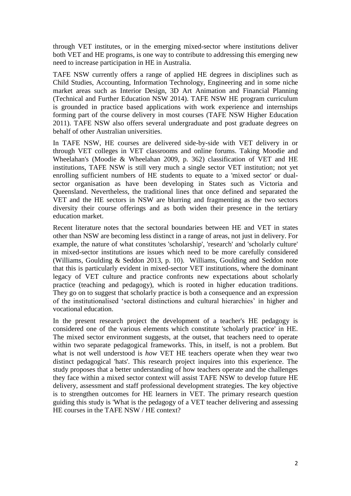through VET institutes, or in the emerging mixed-sector where institutions deliver both VET and HE programs, is one way to contribute to addressing this emerging new need to increase participation in HE in Australia.

TAFE NSW currently offers a range of applied HE degrees in disciplines such as Child Studies, Accounting, Information Technology, Engineering and in some niche market areas such as Interior Design, 3D Art Animation and Financial Planning [\(Technical and Further Education NSW 2014\)](#page-9-1). TAFE NSW HE program curriculum is grounded in practice based applications with work experience and internships forming part of the course delivery in most courses [\(TAFE NSW Higher Education](#page-9-2)  [2011\)](#page-9-2). TAFE NSW also offers several undergraduate and post graduate degrees on behalf of other Australian universities.

In TAFE NSW, HE courses are delivered side-by-side with VET delivery in or through VET colleges in VET classrooms and online forums. Taking Moodie and Wheelahan's [\(Moodie & Wheelahan 2009, p. 362\)](#page-9-3) classification of VET and HE institutions, TAFE NSW is still very much a single sector VET institution; not yet enrolling sufficient numbers of HE students to equate to a 'mixed sector' or dualsector organisation as have been developing in States such as Victoria and Queensland. Nevertheless, the traditional lines that once defined and separated the VET and the HE sectors in NSW are blurring and fragmenting as the two sectors diversity their course offerings and as both widen their presence in the tertiary education market.

Recent literature notes that the sectoral boundaries between HE and VET in states other than NSW are becoming less distinct in a range of areas, not just in delivery. For example, the nature of what constitutes 'scholarship', 'research' and 'scholarly culture' in mixed-sector institutions are issues which need to be more carefully considered [\(Williams, Goulding & Seddon 2013, p. 10\)](#page-9-4). Williams, Goulding and Seddon note that this is particularly evident in mixed-sector VET institutions, where the dominant legacy of VET culture and practice confronts new expectations about scholarly practice (teaching and pedagogy), which is rooted in higher education traditions. They go on to suggest that scholarly practice is both a consequence and an expression of the institutionalised 'sectoral distinctions and cultural hierarchies' in higher and vocational education.

In the present research project the development of a teacher's HE pedagogy is considered one of the various elements which constitute 'scholarly practice' in HE. The mixed sector environment suggests, at the outset, that teachers need to operate within two separate pedagogical frameworks. This, in itself, is not a problem. But what is not well understood is *how* VET HE teachers operate when they wear two distinct pedagogical 'hats'. This research project inquires into this experience. The study proposes that a better understanding of how teachers operate and the challenges they face within a mixed sector context will assist TAFE NSW to develop future HE delivery, assessment and staff professional development strategies. The key objective is to strengthen outcomes for HE learners in VET. The primary research question guiding this study is 'What is the pedagogy of a VET teacher delivering and assessing HE courses in the TAFE NSW / HE context?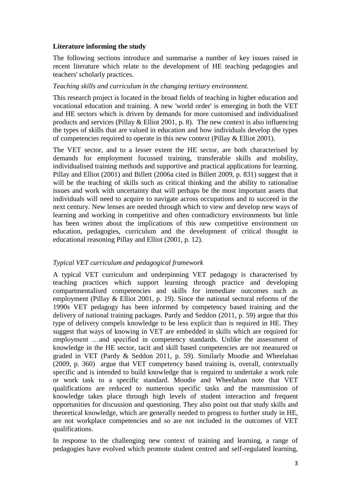# **Literature informing the study**

The following sections introduce and summarise a number of key issues raised in recent literature which relate to the development of HE teaching pedagogies and teachers' scholarly practices.

# *Teaching skills and curriculum in the changing tertiary environment.*

This research project is located in the broad fields of teaching in higher education and vocational education and training. A new 'world order' is emerging in both the VET and HE sectors which is driven by demands for more customised and individualised products and services [\(Pillay & Elliot 2001, p. 8\)](#page-9-5). The new context is also influencing the types of skills that are valued in education and how individuals develop the types of competencies required to operate in this new context [\(Pillay & Elliot 2001\)](#page-9-5).

The VET sector, and to a lesser extent the HE sector, are both characterised by demands for employment focussed training, transferable skills and mobility, individualised training methods and supportive and practical applications for learning. Pillay and Elliot [\(2001\)](#page-9-5) and Billett [\(2006a cited in Billett 2009, p. 831\)](#page-9-6) suggest that it will be the teaching of skills such as critical thinking and the ability to rationalise issues and work with uncertainty that will perhaps be the most important assets that individuals will need to acquire to navigate across occupations and to succeed in the next century. New lenses are needed through which to view and develop new ways of learning and working in competitive and often contradictory environments but little has been written about the implications of this new competitive environment on education, pedagogies, curriculum and the development of critical thought in educational reasoning Pillay and Elliot [\(2001, p. 12\)](#page-9-5).

# *Typical VET curriculum and pedagogical framework*

A typical VET curriculum and underpinning VET pedagogy is characterised by teaching practices which support learning through practice and developing compartmentalised competencies and skills for immediate outcomes such as employment [\(Pillay & Elliot 2001, p. 19\)](#page-9-5). Since the national sectoral reforms of the 1990s VET pedagogy has been informed by competency based training and the delivery of national training packages. Pardy and Seddon [\(2011, p. 59\)](#page-9-7) argue that this type of delivery compels knowledge to be less explicit than is required in HE. They suggest that ways of knowing in VET are embedded in skills which are required for employment …and specified in competency standards. Unlike the assessment of knowledge in the HE sector, tacit and skill based competencies are not measured or graded in VET [\(Pardy & Seddon 2011, p. 59\)](#page-9-7). Similarly Moodie and Wheelahan [\(2009, p. 360\)](#page-9-3) argue that VET competency based training is, overall, contextually specific and is intended to build knowledge that is required to undertake a work role or work task to a specific standard. Moodie and Wheelahan note that VET qualifications are reduced to numerous specific tasks and the transmission of knowledge takes place through high levels of student interaction and frequent opportunities for discussion and questioning. They also point out that study skills and theoretical knowledge, which are generally needed to progress to further study in HE, are not workplace competencies and so are not included in the outcomes of VET qualifications.

In response to the challenging new context of training and learning, a range of pedagogies have evolved which promote student centred and self-regulated learning,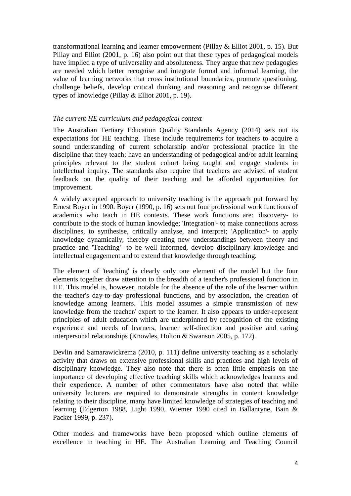transformational learning and learner empowerment [\(Pillay & Elliot 2001, p. 15\)](#page-9-5). But Pillay and Elliot [\(2001, p. 16\)](#page-9-5) also point out that these types of pedagogical models have implied a type of universality and absoluteness. They argue that new pedagogies are needed which better recognise and integrate formal and informal learning, the value of learning networks that cross institutional boundaries, promote questioning, challenge beliefs, develop critical thinking and reasoning and recognise different types of knowledge [\(Pillay & Elliot 2001, p. 19\)](#page-9-5).

# *The current HE curriculum and pedagogical context*

The Australian Tertiary Education Quality Standards Agency [\(2014\)](#page-9-8) sets out its expectations for HE teaching. These include requirements for teachers to acquire a sound understanding of current scholarship and/or professional practice in the discipline that they teach; have an understanding of pedagogical and/or adult learning principles relevant to the student cohort being taught and engage students in intellectual inquiry. The standards also require that teachers are advised of student feedback on the quality of their teaching and be afforded opportunities for improvement.

A widely accepted approach to university teaching is the approach put forward by Ernest Boyer in 1990. Boyer [\(1990, p. 16\)](#page-9-9) sets out four professional work functions of academics who teach in HE contexts. These work functions are: 'discovery- to contribute to the stock of human knowledge; 'Integration'- to make connections across disciplines, to synthesise, critically analyse, and interpret; 'Application'- to apply knowledge dynamically, thereby creating new understandings between theory and practice and 'Teaching'- to be well informed, develop disciplinary knowledge and intellectual engagement and to extend that knowledge through teaching.

The element of 'teaching' is clearly only one element of the model but the four elements together draw attention to the breadth of a teacher's professional function in HE. This model is, however, notable for the absence of the role of the learner within the teacher's day-to-day professional functions, and by association, the creation of knowledge among learners. This model assumes a simple transmission of new knowledge from the teacher/ expert to the learner. It also appears to under-represent principles of adult education which are underpinned by recognition of the existing experience and needs of learners, learner self-direction and positive and caring interpersonal relationships [\(Knowles, Holton & Swanson 2005, p. 172\)](#page-9-10).

Devlin and Samarawickrema [\(2010, p. 111\)](#page-9-11) define university teaching as a scholarly activity that draws on extensive professional skills and practices and high levels of disciplinary knowledge. They also note that there is often little emphasis on the importance of developing effective teaching skills which acknowledges learners and their experience. A number of other commentators have also noted that while university lecturers are required to demonstrate strengths in content knowledge relating to their discipline, many have limited knowledge of strategies of teaching and learning [\(Edgerton 1988, Light 1990, Wiemer 1990 cited in Ballantyne, Bain &](#page-9-12)  [Packer 1999, p. 237\)](#page-9-12).

Other models and frameworks have been proposed which outline elements of excellence in teaching in HE. The Australian Learning and Teaching Council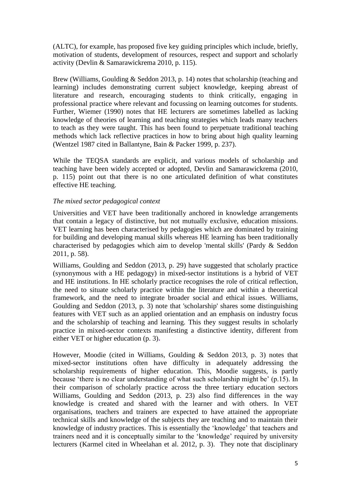(ALTC), for example, has proposed five key guiding principles which include, briefly, motivation of students, development of resources, respect and support and scholarly activity [\(Devlin & Samarawickrema 2010, p. 115\)](#page-9-11).

Brew [\(Williams, Goulding & Seddon 2013, p. 14\)](#page-9-4) notes that scholarship (teaching and learning) includes demonstrating current subject knowledge, keeping abreast of literature and research, encouraging students to think critically, engaging in professional practice where relevant and focussing on learning outcomes for students. Further, Wiemer (1990) notes that HE lecturers are sometimes labelled as lacking knowledge of theories of learning and teaching strategies which leads many teachers to teach as they were taught. This has been found to perpetuate traditional teaching methods which lack reflective practices in how to bring about high quality learning [\(Wentzel 1987 cited in Ballantyne, Bain & Packer 1999, p. 237\)](#page-9-12).

While the TEQSA standards are explicit, and various models of scholarship and teaching have been widely accepted or adopted, Devlin and Samarawickrema [\(2010,](#page-9-11)  [p. 115\)](#page-9-11) point out that there is no one articulated definition of what constitutes effective HE teaching.

### *The mixed sector pedagogical context*

Universities and VET have been traditionally anchored in knowledge arrangements that contain a legacy of distinctive, but not mutually exclusive, education missions. VET learning has been characterised by pedagogies which are dominated by training for building and developing manual skills whereas HE learning has been traditionally characterised by pedagogies which aim to develop 'mental skills' [\(Pardy & Seddon](#page-9-7)  [2011, p. 58\)](#page-9-7).

Williams, Goulding and Seddon [\(2013, p. 29\)](#page-9-4) have suggested that scholarly practice (synonymous with a HE pedagogy) in mixed-sector institutions is a hybrid of VET and HE institutions. In HE scholarly practice recognises the role of critical reflection, the need to situate scholarly practice within the literature and within a theoretical framework, and the need to integrate broader social and ethical issues. Williams, Goulding and Seddon [\(2013, p. 3\)](#page-9-4) note that 'scholarship' shares some distinguishing features with VET such as an applied orientation and an emphasis on industry focus and the scholarship of teaching and learning. This they suggest results in scholarly practice in mixed-sector contexts manifesting a distinctive identity, different from either VET or higher education [\(p. 3\)](#page-9-4)**.**

However, Moodie [\(cited in Williams, Goulding & Seddon 2013, p. 3\)](#page-9-4) notes that mixed-sector institutions often have difficulty in adequately addressing the scholarship requirements of higher education. This, Moodie suggests, is partly because 'there is no clear understanding of what such scholarship might be' (p.15). In their comparison of scholarly practice across the three tertiary education sectors Williams, Goulding and Seddon [\(2013, p. 23\)](#page-9-4) also find differences in the way knowledge is created and shared with the learner and with others. In VET organisations, teachers and trainers are expected to have attained the appropriate technical skills and knowledge of the subjects they are teaching and to maintain their knowledge of industry practices. This is essentially the 'knowledge' that teachers and trainers need and it is conceptually similar to the 'knowledge' required by university lecturers [\(Karmel cited in Wheelahan et al. 2012, p. 3\)](#page-9-13). They note that disciplinary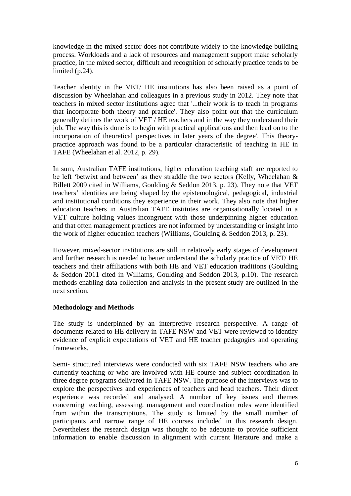knowledge in the mixed sector does not contribute widely to the knowledge building process. Workloads and a lack of resources and management support make scholarly practice, in the mixed sector, difficult and recognition of scholarly practice tends to be limited (p.24).

Teacher identity in the VET/ HE institutions has also been raised as a point of discussion by Wheelahan and colleagues in a previous study in 2012. They note that teachers in mixed sector institutions agree that '...their work is to teach in programs that incorporate both theory and practice'. They also point out that the curriculum generally defines the work of VET / HE teachers and in the way they understand their job. The way this is done is to begin with practical applications and then lead on to the incorporation of theoretical perspectives in later years of the degree'. This theorypractice approach was found to be a particular characteristic of teaching in HE in TAFE [\(Wheelahan et al. 2012, p. 29\)](#page-9-13).

In sum, Australian TAFE institutions, higher education teaching staff are reported to be left 'betwixt and between' as they straddle the two sectors [\(Kelly, Wheelahan &](#page-9-4)  [Billett 2009 cited in Williams, Goulding & Seddon 2013, p. 23\)](#page-9-4). They note that VET teachers' identities are being shaped by the epistemological, pedagogical, industrial and institutional conditions they experience in their work. They also note that higher education teachers in Australian TAFE institutes are organisationally located in a VET culture holding values incongruent with those underpinning higher education and that often management practices are not informed by understanding or insight into the work of higher education teachers [\(Williams, Goulding & Seddon 2013, p. 23\)](#page-9-4).

However, mixed-sector institutions are still in relatively early stages of development and further research is needed to better understand the scholarly practice of VET/ HE teachers and their affiliations with both HE and VET education traditions (Goulding & Seddon 2011 cited in Williams, Goulding and Seddon 2013, p.10). The research methods enabling data collection and analysis in the present study are outlined in the next section.

### **Methodology and Methods**

The study is underpinned by an interpretive research perspective. A range of documents related to HE delivery in TAFE NSW and VET were reviewed to identify evidence of explicit expectations of VET and HE teacher pedagogies and operating frameworks.

Semi- structured interviews were conducted with six TAFE NSW teachers who are currently teaching or who are involved with HE course and subject coordination in three degree programs delivered in TAFE NSW. The purpose of the interviews was to explore the perspectives and experiences of teachers and head teachers. Their direct experience was recorded and analysed. A number of key issues and themes concerning teaching, assessing, management and coordination roles were identified from within the transcriptions. The study is limited by the small number of participants and narrow range of HE courses included in this research design. Nevertheless the research design was thought to be adequate to provide sufficient information to enable discussion in alignment with current literature and make a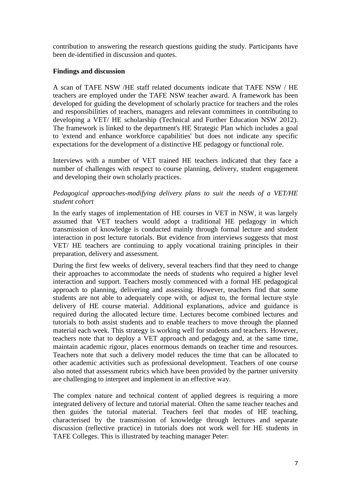contribution to answering the research questions guiding the study. Participants have been de-identified in discussion and quotes.

# **Findings and discussion**

A scan of TAFE NSW /HE staff related documents indicate that TAFE NSW / HE teachers are employed under the TAFE NSW teacher award. A framework has been developed for guiding the development of scholarly practice for teachers and the roles and responsibilities of teachers, managers and relevant committees in contributing to developing a VET/ HE scholarship [\(Technical and Further Education NSW 2012\)](#page-9-14). The framework is linked to the department's HE Strategic Plan which includes a goal to 'extend and enhance workforce capabilities' but does not indicate any specific expectations for the development of a distinctive HE pedagogy or functional role.

Interviews with a number of VET trained HE teachers indicated that they face a number of challenges with respect to course planning, delivery, student engagement and developing their own scholarly practices.

# *Pedagogical approaches-modifying delivery plans to suit the needs of a VET/HE student cohort*

In the early stages of implementation of HE courses in VET in NSW, it was largely assumed that VET teachers would adopt a traditional HE pedagogy in which transmission of knowledge is conducted mainly through formal lecture and student interaction in post lecture tutorials. But evidence from interviews suggests that most VET/ HE teachers are continuing to apply vocational training principles in their preparation, delivery and assessment.

During the first few weeks of delivery, several teachers find that they need to change their approaches to accommodate the needs of students who required a higher level interaction and support. Teachers mostly commenced with a formal HE pedagogical approach to planning, delivering and assessing. However, teachers find that some students are not able to adequately cope with, or adjust to, the formal lecture style delivery of HE course material. Additional explanations, advice and guidance is required during the allocated lecture time. Lectures become combined lectures and tutorials to both assist students and to enable teachers to move through the planned material each week. This strategy is working well for students and teachers. However, teachers note that to deploy a VET approach and pedagogy and, at the same time, maintain academic rigour, places enormous demands on teacher time and resources. Teachers note that such a delivery model reduces the time that can be allocated to other academic activities such as professional development. Teachers of one course also noted that assessment rubrics which have been provided by the partner university are challenging to interpret and implement in an effective way.

The complex nature and technical content of applied degrees is requiring a more integrated delivery of lecture and tutorial material. Often the same teacher teaches and then guides the tutorial material. Teachers feel that modes of HE teaching, characterised by the transmission of knowledge through lectures and separate discussion (reflective practice) in tutorials does not work well for HE students in TAFE Colleges. This is illustrated by teaching manager Peter: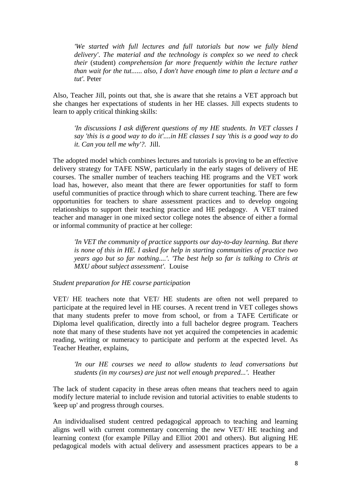*'We started with full lectures and full tutorials but now we fully blend delivery'*. *The material and the technology is complex so we need to check their* (student) *comprehension far more frequently within the lecture rather than wait for the tut...... also, I don't have enough time to plan a lecture and a tut'.* Peter

Also, Teacher Jill, points out that, she is aware that she retains a VET approach but she changes her expectations of students in her HE classes. Jill expects students to learn to apply critical thinking skills:

*'In discussions I ask different questions of my HE students. In VET classes I say 'this is a good way to do it'....in HE classes I say 'this is a good way to do it. Can you tell me why'?.* Jill.

The adopted model which combines lectures and tutorials is proving to be an effective delivery strategy for TAFE NSW, particularly in the early stages of delivery of HE courses. The smaller number of teachers teaching HE programs and the VET work load has, however, also meant that there are fewer opportunities for staff to form useful communities of practice through which to share current teaching. There are few opportunities for teachers to share assessment practices and to develop ongoing relationships to support their teaching practice and HE pedagogy. A VET trained teacher and manager in one mixed sector college notes the absence of either a formal or informal community of practice at her college:

*'In VET the community of practice supports our day-to-day learning. But there is none of this in HE. I asked for help in starting communities of practice two years ago but so far nothing....'. 'The best help so far is talking to Chris at MXU about subject assessment'.* Louise

#### *Student preparation for HE course participation*

VET/ HE teachers note that VET/ HE students are often not well prepared to participate at the required level in HE courses. A recent trend in VET colleges shows that many students prefer to move from school, or from a TAFE Certificate or Diploma level qualification, directly into a full bachelor degree program. Teachers note that many of these students have not yet acquired the competencies in academic reading, writing or numeracy to participate and perform at the expected level. As Teacher Heather, explains,

*'In our HE courses we need to allow students to lead conversations but students (in my courses) are just not well enough prepared...'*. Heather

The lack of student capacity in these areas often means that teachers need to again modify lecture material to include revision and tutorial activities to enable students to 'keep up' and progress through courses.

An individualised student centred pedagogical approach to teaching and learning aligns well with current commentary concerning the new VET/ HE teaching and learning context (for example Pillay and Elliot 2001 and others). But aligning HE pedagogical models with actual delivery and assessment practices appears to be a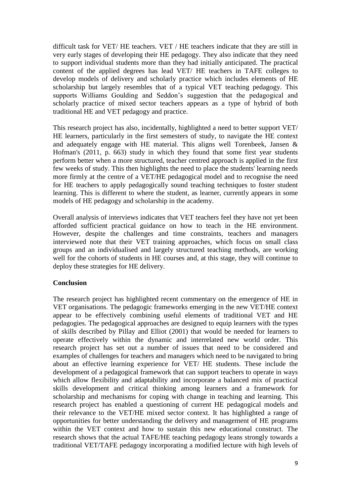difficult task for VET/ HE teachers. VET / HE teachers indicate that they are still in very early stages of developing their HE pedagogy. They also indicate that they need to support individual students more than they had initially anticipated. The practical content of the applied degrees has lead VET/ HE teachers in TAFE colleges to develop models of delivery and scholarly practice which includes elements of HE scholarship but largely resembles that of a typical VET teaching pedagogy. This supports Williams Goulding and Seddon's suggestion that the pedagogical and scholarly practice of mixed sector teachers appears as a type of hybrid of both traditional HE and VET pedagogy and practice.

This research project has also, incidentally, highlighted a need to better support VET/ HE learners, particularly in the first semesters of study, to navigate the HE context and adequately engage with HE material. This aligns well Torenbeek, Jansen & Hofman's [\(2011, p. 663\)](#page-9-15) study in which they found that some first year students perform better when a more structured, teacher centred approach is applied in the first few weeks of study. This then highlights the need to place the students' learning needs more firmly at the centre of a VET/HE pedagogical model and to recognise the need for HE teachers to apply pedagogically sound teaching techniques to foster student learning. This is different to where the student, as learner, currently appears in some models of HE pedagogy and scholarship in the academy.

Overall analysis of interviews indicates that VET teachers feel they have not yet been afforded sufficient practical guidance on how to teach in the HE environment. However, despite the challenges and time constraints, teachers and managers interviewed note that their VET training approaches, which focus on small class groups and an individualised and largely structured teaching methods, are working well for the cohorts of students in HE courses and, at this stage, they will continue to deploy these strategies for HE delivery.

### **Conclusion**

The research project has highlighted recent commentary on the emergence of HE in VET organisations. The pedagogic frameworks emerging in the new VET/HE context appear to be effectively combining useful elements of traditional VET and HE pedagogies. The pedagogical approaches are designed to equip learners with the types of skills described by Pillay and Elliot [\(2001\)](#page-9-5) that would be needed for learners to operate effectively within the dynamic and interrelated new world order. This research project has set out a number of issues that need to be considered and examples of challenges for teachers and managers which need to be navigated to bring about an effective learning experience for VET/ HE students. These include the development of a pedagogical framework that can support teachers to operate in ways which allow flexibility and adaptability and incorporate a balanced mix of practical skills development and critical thinking among learners and a framework for scholarship and mechanisms for coping with change in teaching and learning. This research project has enabled a questioning of current HE pedagogical models and their relevance to the VET/HE mixed sector context. It has highlighted a range of opportunities for better understanding the delivery and management of HE programs within the VET context and how to sustain this new educational construct. The research shows that the actual TAFE/HE teaching pedagogy leans strongly towards a traditional VET/TAFE pedagogy incorporating a modified lecture with high levels of